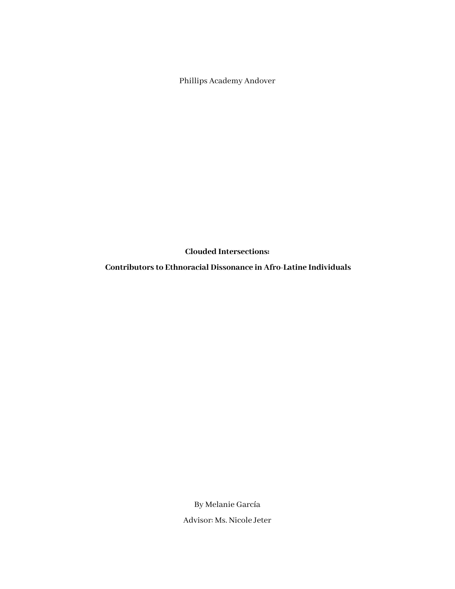Phillips Academy Andover

**Clouded Intersections:**

**Contributors to Ethnoracial Dissonance in Afro-Latine Individuals**

By Melanie García Advisor: Ms. Nicole Jeter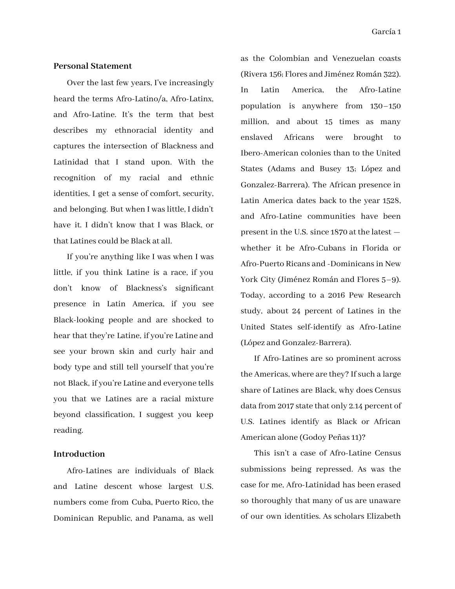#### **Personal Statement**

Over the last few years, I've increasingly heard the terms Afro-Latino/a, Afro-Latinx, and Afro-Latine. It's the term that best describes my ethnoracial identity and captures the intersection of Blackness and Latinidad that I stand upon. With the recognition of my racial and ethnic identities, I get a sense of comfort, security, and belonging. But when I waslittle, I didn't have it. I didn't know that I was Black, or that Latines could be Black at all.

If you're anything like I was when I was little, if you think Latine is a race, if you don't know of Blackness's significant presence in Latin America, if you see Black-looking people and are shocked to hear that they're Latine, if you're Latine and see your brown skin and curly hair and body type and still tell yourself that you're not Black, if you're Latine and everyone tells you that we Latines are a racial mixture beyond classification, I suggest you keep reading.

### **Introduction**

Afro-Latines are individuals of Black and Latine descent whose largest U.S. numbers come from Cuba, Puerto Rico, the Dominican Republic, and Panama, as well as the Colombian and Venezuelan coasts (Rivera 156; Flores and Jiménez Román 322). In Latin America, the Afro-Latine population is anywhere from 130–150 million, and about 15 times as many enslaved Africans were brought to Ibero-American colonies than to the United States (Adams and Busey 13; López and Gonzalez-Barrera). The African presence in Latin America dates back to the year 1528, and Afro-Latine communities have been present in the U.S. since 1870 at the latest whether it be Afro-Cubans in Florida or Afro-Puerto Ricans and -Dominicans in New York City (Jiménez Román and Flores 5–9). Today, according to a 2016 Pew Research study, about 24 percent of Latines in the United States self-identify as Afro-Latine (López and Gonzalez-Barrera).

If Afro-Latines are so prominent across the Americas, where are they? If such a large share of Latines are Black, why does Census data from 2017 state that only 2.14 percent of U.S. Latines identify as Black or African American alone (Godoy Peñas 11)?

This isn't a case of Afro-Latine Census submissions being repressed. As was the case for me, Afro-Latinidad has been erased so thoroughly that many of us are unaware of our own identities. As scholars Elizabeth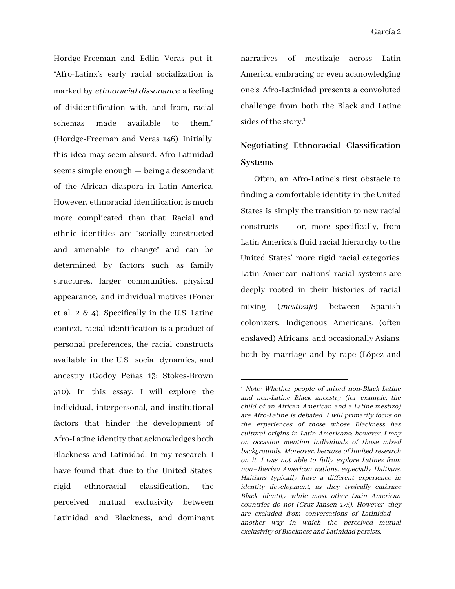Hordge-Freeman and Edlin Veras put it, "Afro-Latinx's early racial socialization is marked by ethnoracial dissonance: a feeling of disidentification with, and from, racial schemas made available to them." (Hordge-Freeman and Veras 146). Initially, this idea may seem absurd. Afro-Latinidad seems simple enough — being a descendant of the African diaspora in Latin America. However, ethnoracial identification is much more complicated than that. Racial and ethnic identities are "socially constructed and amenable to change" and can be determined by factors such as family structures, larger communities, physical appearance, and individual motives (Foner et al. 2 & 4). Specifically in the U.S. Latine context, racial identification is a product of personal preferences, the racial constructs available in the U.S., social dynamics, and ancestry (Godoy Peñas 13; Stokes-Brown 310). In this essay, I will explore the individual, interpersonal, and institutional factors that hinder the development of Afro-Latine identity that acknowledges both Blackness and Latinidad. In my research, I have found that, due to the United States' rigid ethnoracial classification, the perceived mutual exclusivity between Latinidad and Blackness, and dominant

narratives of mestizaje across Latin America, embracing or even acknowledging one's Afro-Latinidad presents a convoluted challenge from both the Black and Latine sides of the story.<sup>1</sup>

# **Negotiating Ethnoracial Classification Systems**

Often, an Afro-Latine's first obstacle to finding a comfortable identity in the United States is simply the transition to new racial constructs — or, more specifically, from Latin America's fluid racial hierarchy to the United States' more rigid racial categories. Latin American nations' racial systems are deeply rooted in their histories of racial mixing (mestizaje) between Spanish colonizers, Indigenous Americans, (often enslaved) Africans, and occasionally Asians, both by marriage and by rape (López and

 $1$  Note: Whether people of mixed non-Black Latine and non-Latine Black ancestry (for example, the child of an African American and <sup>a</sup> Latine mestizo) are Afro-Latine is debated. I will primarily focus on the experiences of those whose Blackness has cultural origins in Latin Americans; however, I may on occasion mention individuals of those mixed backgrounds. Moreover, because of limited research on it, I was not able to fully explore Latines from non–Iberian American nations, especially Haitians. Haitians typically have <sup>a</sup> different experience in identity development, as they typically embrace Black identity while most other Latin American countries do not (Cruz-Jansen 175). However, they are excluded from conversations of Latinidad another way in which the perceived mutual exclusivity of Blackness and Latinidad persists.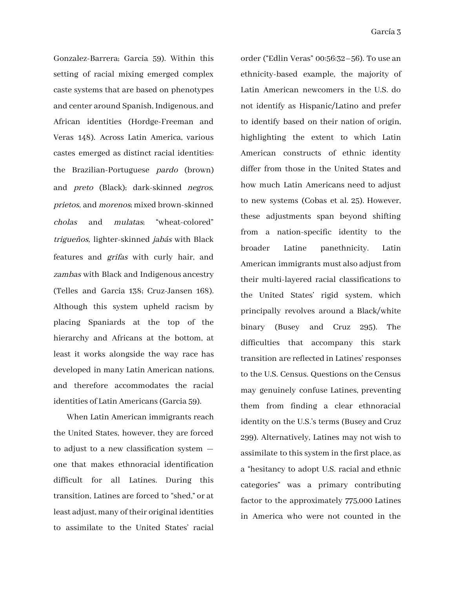Gonzalez-Barrera; Garcia 59). Within this setting of racial mixing emerged complex caste systems that are based on phenotypes and center around Spanish, Indigenous, and African identities (Hordge-Freeman and Veras 148). Across Latin America, various castes emerged as distinct racial identities: the Brazilian-Portuguese pardo (brown) and preto (Black); dark-skinned negros, prietos, and morenos; mixed brown-skinned cholas and mulatas; "wheat-colored" trigueños, lighter-skinned jabás with Black features and grifas with curly hair, and zambas with Black and Indigenous ancestry (Telles and Garcia 138; Cruz-Jansen 168). Although this system upheld racism by placing Spaniards at the top of the hierarchy and Africans at the bottom, at least it works alongside the way race has developed in many Latin American nations, and therefore accommodates the racial identities of Latin Americans (Garcia 59).

When Latin American immigrants reach the United States, however, they are forced to adjust to a new classification system one that makes ethnoracial identification difficult for all Latines. During this transition, Latines are forced to "shed," or at least adjust, many of their original identities to assimilate to the United States' racial order ("Edlin Veras" 00:56:32–56). To use an ethnicity-based example, the majority of Latin American newcomers in the U.S. do not identify as Hispanic/Latino and prefer to identify based on their nation of origin, highlighting the extent to which Latin American constructs of ethnic identity differ from those in the United States and how much Latin Americans need to adjust to new systems (Cobas et al. 25). However, these adjustments span beyond shifting from a nation-specific identity to the broader Latine panethnicity. Latin American immigrants must also adjust from their multi-layered racial classifications to the United States' rigid system, which principally revolves around a Black/white binary (Busey and Cruz 295). The difficulties that accompany this stark transition are reflected in Latines' responses to the U.S. Census. Questions on the Census may genuinely confuse Latines, preventing them from finding a clear ethnoracial identity on the U.S.'s terms (Busey and Cruz 299). Alternatively, Latines may not wish to assimilate to this system in the first place, as a "hesitancy to adopt U.S. racial and ethnic categories" was a primary contributing factor to the approximately 775,000 Latines in America who were not counted in the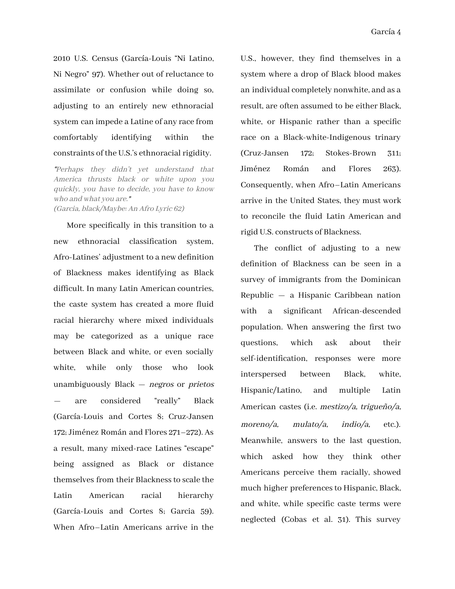2010 U.S. Census (García-Louis "Ni Latino, Ni Negro" 97). Whether out of reluctance to assimilate or confusion while doing so, adjusting to an entirely new ethnoracial system can impede a Latine of any race from comfortably identifying within the constraints of the U.S.'s ethnoracial rigidity.

"Perhaps they didn't yet understand that America thrusts black or white upon you quickly, you have to decide, you have to know who and what you are." (Garcia, black/Maybe: An Afro Lyric 62)

More specifically in this transition to a new ethnoracial classification system, Afro-Latines' adjustment to a new definition of Blackness makes identifying as Black difficult. In many Latin American countries, the caste system has created a more fluid racial hierarchy where mixed individuals may be categorized as a unique race between Black and white, or even socially white, while only those who look unambiguously  $Black - negros$  or *prietos* — are considered "really" Black (García-Louis and Cortes 8; Cruz-Jansen 172; Jiménez Román and Flores 271–272). As a result, many mixed-race Latines "escape" being assigned as Black or distance themselves from their Blackness to scale the Latin American racial hierarchy (García-Louis and Cortes 8; Garcia 59). When Afro–Latin Americans arrive in the

U.S., however, they find themselves in a system where a drop of Black blood makes an individual completely nonwhite, and as a result, are often assumed to be either Black, white, or Hispanic rather than a specific race on a Black-white-Indigenous trinary (Cruz-Jansen 172; Stokes-Brown 311; Jiménez Román and Flores 263). Consequently, when Afro–Latin Americans arrive in the United States, they must work to reconcile the fluid Latin American and rigid U.S. constructs of Blackness.

The conflict of adjusting to a new definition of Blackness can be seen in a survey of immigrants from the Dominican Republic — a Hispanic Caribbean nation with a significant African-descended population. When answering the first two questions, which ask about their self-identification, responses were more interspersed between Black, white, Hispanic/Latino, and multiple Latin American castes (i.e. mestizo/a, trigueño/a, moreno/a, mulato/a, indio/a, etc.). Meanwhile, answers to the last question, which asked how they think other Americans perceive them racially, showed much higher preferences to Hispanic, Black, and white, while specific caste terms were neglected (Cobas et al. 31). This survey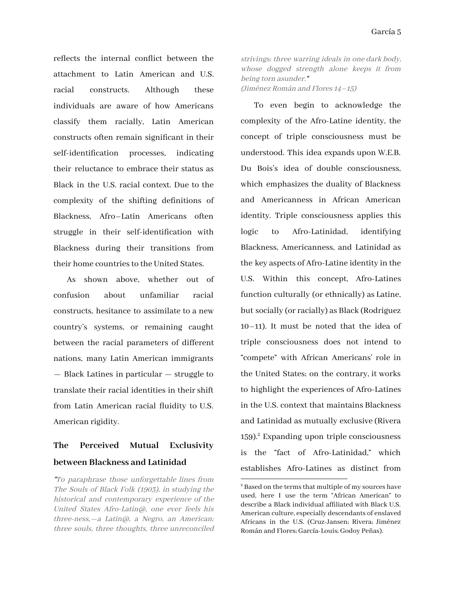reflects the internal conflict between the attachment to Latin American and U.S. racial constructs. Although these individuals are aware of how Americans classify them racially, Latin American constructs often remain significant in their self-identification processes, indicating their reluctance to embrace their status as Black in the U.S. racial context. Due to the complexity of the shifting definitions of Blackness, Afro–Latin Americans often struggle in their self-identification with Blackness during their transitions from their home countries to the United States.

As shown above, whether out of confusion about unfamiliar racial constructs, hesitance to assimilate to a new country's systems, or remaining caught between the racial parameters of different nations, many Latin American immigrants — Black Latines in particular — struggle to translate their racial identities in theirshift from Latin American racial fluidity to U.S. American rigidity.

## **The Perceived Mutual Exclusivity between Blackness and Latinidad**

"To paraphrase those unforgettable lines from The Souls of Black Folk (1903), in studying the historical and contemporary experience of the United States Afro-Latin@, one ever feels his three-ness,—a Latin@, <sup>a</sup> Negro, an American; three souls, three thoughts, three unreconciled strivings; three warring ideals in one dark body, whose dogged strength alone keeps it from being torn asunder." (Jiménez Román and Flores 14–15)

To even begin to acknowledge the complexity of the Afro-Latine identity, the concept of triple consciousness must be understood. This idea expands upon W.E.B. Du Bois's idea of double consciousness, which emphasizes the duality of Blackness and Americanness in African American identity. Triple consciousness applies this logic to Afro-Latinidad, identifying Blackness, Americanness, and Latinidad as the key aspects of Afro-Latine identity in the U.S. Within this concept, Afro-Latines function culturally (or ethnically) as Latine, but socially (or racially) as Black (Rodriguez 10–11). It must be noted that the idea of triple consciousness does not intend to "compete" with African Americans' role in the United States; on the contrary, it works to highlight the experiences of Afro-Latines in the U.S. context that maintains Blackness and Latinidad as mutually exclusive (Rivera  $159$ .<sup>2</sup> Expanding upon triple consciousness is the "fact of Afro-Latinidad," which establishes Afro-Latines as distinct from

 $2^2$  Based on the terms that multiple of my sources have used, here I use the term "African American" to describe a Black individual affiliated with Black U.S. American culture, especially descendants of enslaved Africans in the U.S. (Cruz-Jansen; Rivera; Jiménez Román and Flores; García-Louis; Godoy Peñas).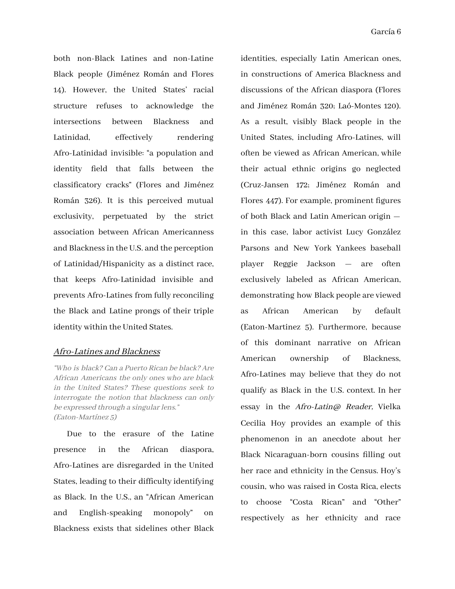both non-Black Latines and non-Latine Black people (Jiménez Román and Flores 14). However, the United States' racial structure refuses to acknowledge the intersections between Blackness and Latinidad, effectively rendering Afro-Latinidad invisible: "a population and identity field that falls between the classificatory cracks" (Flores and Jiménez Román 326). It is this perceived mutual exclusivity, perpetuated by the strict association between African Americanness and Blacknessin the U.S. and the perception of Latinidad/Hispanicity as a distinct race, that keeps Afro-Latinidad invisible and prevents Afro-Latines from fully reconciling the Black and Latine prongs of their triple identity within the United States.

### Afro-Latines and Blackness

"Who is black? Can <sup>a</sup> Puerto Rican be black? Are African Americans the only ones who are black in the United States? These questions seek to interrogate the notion that blackness can only be expressed through a singular lens." (Eaton-Martínez 5)

Due to the erasure of the Latine presence in the African diaspora, Afro-Latines are disregarded in the United States, leading to their difficulty identifying as Black. In the U.S., an "African American and English-speaking monopoly" on Blackness exists that sidelines other Black identities, especially Latin American ones, in constructions of America Blackness and discussions of the African diaspora (Flores and Jiménez Román 320; Laó-Montes 120). As a result, visibly Black people in the United States, including Afro-Latines, will often be viewed as African American, while their actual ethnic origins go neglected (Cruz-Jansen 172; Jiménez Román and Flores 447). For example, prominent figures of both Black and Latin American origin in this case, labor activist Lucy González Parsons and New York Yankees baseball player Reggie Jackson — are often exclusively labeled as African American, demonstrating how Black people are viewed as African American by default (Eaton-Martinez 5). Furthermore, because of this dominant narrative on African American ownership of Blackness, Afro-Latines may believe that they do not qualify as Black in the U.S. context. In her essay in the Afro-Latin@ Reader, Vielka Cecilia Hoy provides an example of this phenomenon in an anecdote about her Black Nicaraguan-born cousins filling out her race and ethnicity in the Census. Hoy's cousin, who was raised in Costa Rica, elects to choose "Costa Rican" and "Other" respectively as her ethnicity and race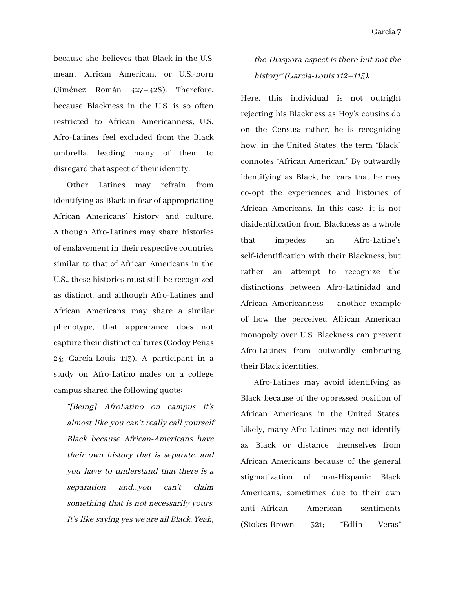because she believes that Black in the U.S. meant African American, or U.S.-born (Jiménez Román 427–428). Therefore, because Blackness in the U.S. is so often restricted to African Americanness, U.S. Afro-Latines feel excluded from the Black umbrella, leading many of them to disregard that aspect of their identity.

Other Latines may refrain from identifying as Black in fear of appropriating African Americans' history and culture. Although Afro-Latines may share histories of enslavement in their respective countries similar to that of African Americans in the U.S., these histories must still be recognized as distinct, and although Afro-Latines and African Americans may share a similar phenotype, that appearance does not capture their distinct cultures(Godoy Peñas 24; García-Louis 113). A participant in a study on Afro-Latino males on a college campus shared the following quote:

"[Being] AfroLatino on campus it's almost like you can't really call yourself Black because African-Americans have their own history that is separate…and you have to understand that there is <sup>a</sup> separation and…you can't claim something that is not necessarily yours. It's like saying yes we are all Black. Yeah,

### the Diaspora aspect is there but not the history" (García-Louis 112–113).

Here, this individual is not outright rejecting his Blackness as Hoy's cousins do on the Census; rather, he is recognizing how, in the United States, the term "Black" connotes "African American." By outwardly identifying as Black, he fears that he may co-opt the experiences and histories of African Americans. In this case, it is not disidentification from Blackness as a whole that impedes an Afro-Latine's self-identification with their Blackness, but rather an attempt to recognize the distinctions between Afro-Latinidad and African Americanness — another example of how the perceived African American monopoly over U.S. Blackness can prevent Afro-Latines from outwardly embracing their Black identities.

Afro-Latines may avoid identifying as Black because of the oppressed position of African Americans in the United States. Likely, many Afro-Latines may not identify as Black or distance themselves from African Americans because of the general stigmatization of non-Hispanic Black Americans, sometimes due to their own anti–African American sentiments (Stokes-Brown 321; "Edlin Veras"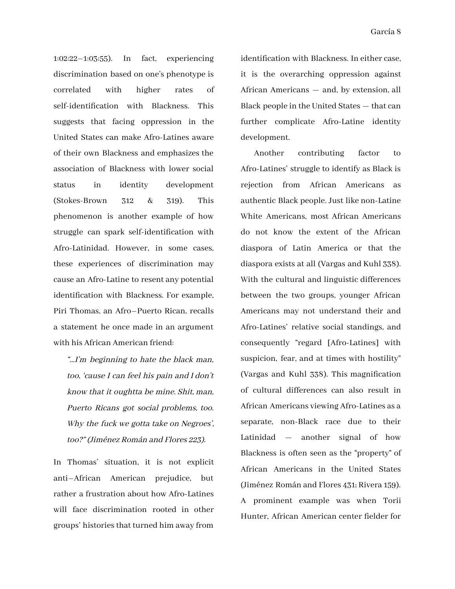1:02:22–1:03:55). In fact, experiencing discrimination based on one's phenotype is correlated with higher rates of self-identification with Blackness. This suggests that facing oppression in the United States can make Afro-Latines aware of their own Blackness and emphasizes the association of Blackness with lower social status in identity development (Stokes-Brown 312 & 319). This phenomenon is another example of how struggle can spark self-identification with Afro-Latinidad. However, in some cases, these experiences of discrimination may cause an Afro-Latine to resent any potential identification with Blackness. For example, Piri Thomas, an Afro–Puerto Rican, recalls a statement he once made in an argument with his African American friend:

"…I'm beginning to hate the black man, too, 'cause I can feel his pain and I don't know that it oughtta be mine. Shit, man, Puerto Ricans got social problems, too. Why the fuck we gotta take on Negroes', too?" (Jiménez Román and Flores 223).

In Thomas' situation, it is not explicit anti–African American prejudice, but rather a frustration about how Afro-Latines will face discrimination rooted in other groups' historiesthat turned him away from

identification with Blackness. In either case, it is the overarching oppression against African Americans — and, by extension, all Black people in the United States — that can further complicate Afro-Latine identity development.

Another contributing factor to Afro-Latines' struggle to identify as Black is rejection from African Americans as authentic Black people. Just like non-Latine White Americans, most African Americans do not know the extent of the African diaspora of Latin America or that the diaspora exists at all (Vargas and Kuhl 338). With the cultural and linguistic differences between the two groups, younger African Americans may not understand their and Afro-Latines' relative social standings, and consequently "regard [Afro-Latines] with suspicion, fear, and at times with hostility" (Vargas and Kuhl 338). This magnification of cultural differences can also result in African Americans viewing Afro-Latines as a separate, non-Black race due to their Latinidad — another signal of how Blackness is often seen as the "property" of African Americans in the United States (Jiménez Román and Flores 431; Rivera 159). A prominent example was when Torii Hunter, African American center fielder for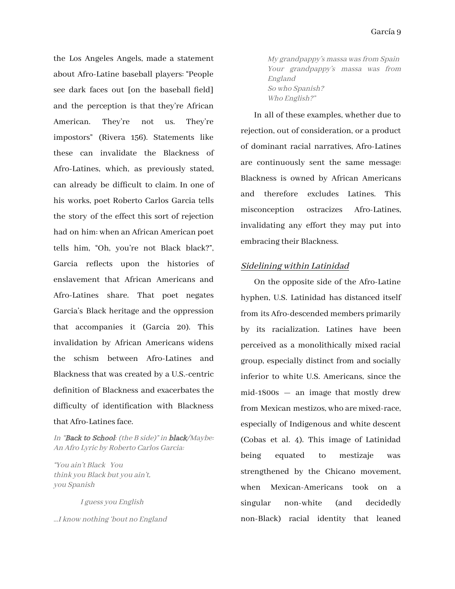the Los Angeles Angels, made a statement about Afro-Latine baseball players: "People see dark faces out [on the baseball field] and the perception is that they're African American. They're not us. They're impostors" (Rivera 156). Statements like these can invalidate the Blackness of Afro-Latines, which, as previously stated, can already be difficult to claim. In one of his works, poet Roberto Carlos Garcia tells the story of the effect this sort of rejection had on him: when an African American poet tells him, "Oh, you're not Black black?", Garcia reflects upon the histories of enslavement that African Americans and Afro-Latines share. That poet negates Garcia's Black heritage and the oppression that accompanies it (Garcia 20). This invalidation by African Americans widens the schism between Afro-Latines and Blackness that was created by a U.S.-centric definition of Blackness and exacerbates the difficulty of identification with Blackness that Afro-Latines face.

In "Back to School: (the B side)" in black/Maybe: An Afro Lyric by Roberto Carlos Garcia:

"You ain't Black You think you Black but you ain't, you Spanish

I guess you English

…I know nothing 'bout no England

My grandpappy's massa was from Spain Your grandpappy's massa was from England So who Spanish? Who English?"

In all of these examples, whether due to rejection, out of consideration, or a product of dominant racial narratives, Afro-Latines are continuously sent the same message: Blackness is owned by African Americans and therefore excludes Latines. This misconception ostracizes Afro-Latines, invalidating any effort they may put into embracing their Blackness.

### Sidelining within Latinidad

On the opposite side of the Afro-Latine hyphen, U.S. Latinidad has distanced itself from its Afro-descended members primarily by its racialization. Latines have been perceived as a monolithically mixed racial group, especially distinct from and socially inferior to white U.S. Americans, since the mid-1800s — an image that mostly drew from Mexican mestizos, who are mixed-race, especially of Indigenous and white descent (Cobas et al. 4). This image of Latinidad being equated to mestizaje was strengthened by the Chicano movement, when Mexican-Americans took on a singular non-white (and decidedly non-Black) racial identity that leaned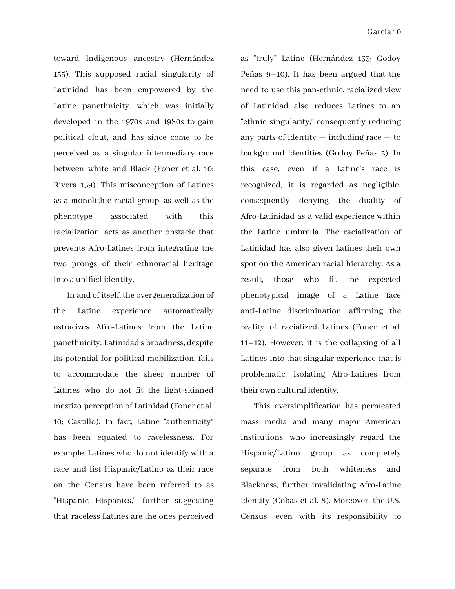toward Indigenous ancestry (Hernández 155). This supposed racial singularity of Latinidad has been empowered by the Latine panethnicity, which was initially developed in the 1970s and 1980s to gain political clout, and has since come to be perceived as a singular intermediary race between white and Black (Foner et al. 10; Rivera 159). This misconception of Latines as a monolithic racial group, as well as the phenotype associated with this racialization, acts as another obstacle that prevents Afro-Latines from integrating the two prongs of their ethnoracial heritage into a unified identity.

In and of itself, the overgeneralization of the Latine experience automatically ostracizes Afro-Latines from the Latine panethnicity. Latinidad's broadness, despite its potential for political mobilization, fails to accommodate the sheer number of Latines who do not fit the light-skinned mestizo perception of Latinidad (Foner et al. 10; Castillo). In fact, Latine "authenticity" has been equated to racelessness. For example, Latines who do not identify with a race and list Hispanic/Latino as their race on the Census have been referred to as "Hispanic Hispanics," further suggesting that raceless Latines are the ones perceived

as "truly" Latine (Hernández 153; Godoy Peñas 9–10). It has been argued that the need to use this pan-ethnic, racialized view of Latinidad also reduces Latines to an "ethnic singularity," consequently reducing any parts of identity — including race — to background identities (Godoy Peñas 5). In this case, even if a Latine's race is recognized, it is regarded as negligible, consequently denying the duality of Afro-Latinidad as a valid experience within the Latine umbrella. The racialization of Latinidad has also given Latines their own spot on the American racial hierarchy. As a result, those who fit the expected phenotypical image of a Latine face anti-Latine discrimination, affirming the reality of racialized Latines (Foner et al. 11–12). However, it is the collapsing of all Latines into that singular experience that is problematic, isolating Afro-Latines from their own cultural identity.

This oversimplification has permeated mass media and many major American institutions, who increasingly regard the Hispanic/Latino group as completely separate from both whiteness and Blackness, further invalidating Afro-Latine identity (Cobas et al. 8). Moreover, the U.S. Census, even with its responsibility to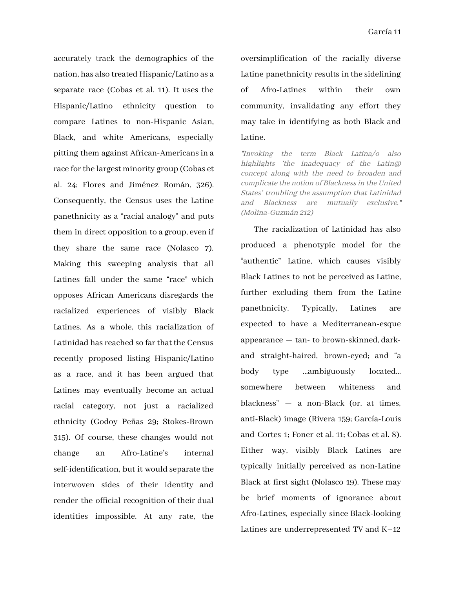accurately track the demographics of the nation, has also treated Hispanic/Latino as a separate race (Cobas et al. 11). It uses the Hispanic/Latino ethnicity question to compare Latines to non-Hispanic Asian, Black, and white Americans, especially pitting them against African-Americans in a race for the largest minority group (Cobas et al. 24; Flores and Jiménez Román, 326). Consequently, the Census uses the Latine panethnicity as a "racial analogy" and puts them in direct opposition to a group, even if they share the same race (Nolasco 7). Making this sweeping analysis that all Latines fall under the same "race" which opposes African Americans disregards the racialized experiences of visibly Black Latines. As a whole, this racialization of Latinidad has reached so far that the Census recently proposed listing Hispanic/Latino as a race, and it has been argued that Latines may eventually become an actual racial category, not just a racialized ethnicity (Godoy Peñas 29; Stokes-Brown 315). Of course, these changes would not change an Afro-Latine's internal self-identification, but it would separate the interwoven sides of their identity and render the official recognition of their dual identities impossible. At any rate, the

oversimplification of the racially diverse Latine panethnicity results in the sidelining of Afro-Latines within their own community, invalidating any effort they may take in identifying as both Black and Latine.

"Invoking the term Black Latina/o also highlights 'the inadequacy of the Latin@ concept along with the need to broaden and complicate the notion of Blackness in the United States' troubling the assumption that Latinidad and Blackness are mutually exclusive." (Molina-Guzmán 212)

The racialization of Latinidad has also produced a phenotypic model for the "authentic" Latine, which causes visibly Black Latines to not be perceived as Latine, further excluding them from the Latine panethnicity. Typically, Latines are expected to have a Mediterranean-esque appearance — tan- to brown-skinned, darkand straight-haired, brown-eyed; and "a body type …ambiguously located… somewhere between whiteness and blackness" — a non-Black (or, at times, anti-Black) image (Rivera 159; García-Louis and Cortes 1; Foner et al. 11; Cobas et al. 8). Either way, visibly Black Latines are typically initially perceived as non-Latine Black at first sight (Nolasco 19). These may be brief moments of ignorance about Afro-Latines, especially since Black-looking Latines are underrepresented TV and K–12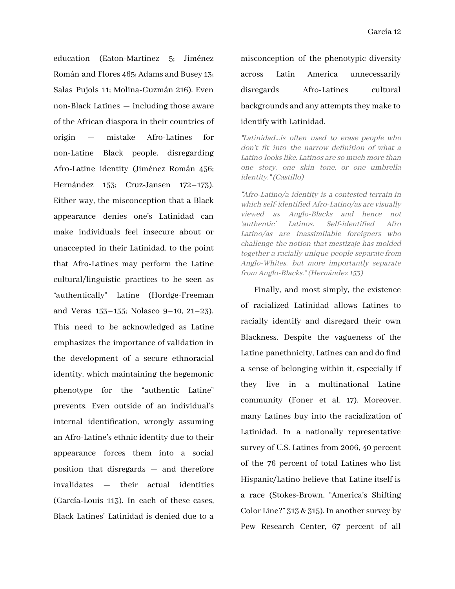education (Eaton-Martínez 5; Jiménez Román and Flores 465; Adams and Busey 13; Salas Pujols 11; Molina-Guzmán 216). Even non-Black Latines — including those aware of the African diaspora in their countries of origin — mistake Afro-Latines for non-Latine Black people, disregarding Afro-Latine identity (Jiménez Román 456; Hernández 153; Cruz-Jansen 172–173). Either way, the misconception that a Black appearance denies one's Latinidad can make individuals feel insecure about or unaccepted in their Latinidad, to the point that Afro-Latines may perform the Latine cultural/linguistic practices to be seen as "authentically" Latine (Hordge-Freeman and Veras 153–155; Nolasco 9–10, 21–23). This need to be acknowledged as Latine emphasizes the importance of validation in the development of a secure ethnoracial identity, which maintaining the hegemonic phenotype for the "authentic Latine" prevents. Even outside of an individual's internal identification, wrongly assuming an Afro-Latine's ethnic identity due to their appearance forces them into a social position that disregards — and therefore invalidates — their actual identities (García-Louis 113). In each of these cases, Black Latines' Latinidad is denied due to a

misconception of the phenotypic diversity across Latin America unnecessarily disregards Afro-Latines cultural backgrounds and any attempts they make to identify with Latinidad.

"Latinidad…is often used to erase people who don't fit into the narrow definition of what <sup>a</sup> Latino lookslike. Latinos are so much more than one story, one skin tone, or one umbrella identity." (Castillo)

"Afro-Latino/a identity is <sup>a</sup> contested terrain in which self-identified Afro-Latino/as are visually viewed as Anglo-Blacks and hence not 'authentic' Latinos. Self-identified Afro Latino/as are inassimilable foreigners who challenge the notion that mestizaje has molded together <sup>a</sup> racially unique people separate from Anglo-Whites, but more importantly separate from Anglo-Blacks." (Hernández 153)

Finally, and most simply, the existence of racialized Latinidad allows Latines to racially identify and disregard their own Blackness. Despite the vagueness of the Latine panethnicity, Latines can and do find a sense of belonging within it, especially if they live in a multinational Latine community (Foner et al. 17). Moreover, many Latines buy into the racialization of Latinidad. In a nationally representative survey of U.S. Latines from 2006, 40 percent of the 76 percent of total Latines who list Hispanic/Latino believe that Latine itself is a race (Stokes-Brown, "America's Shifting Color Line?"  $313 & 315$ ). In another survey by Pew Research Center, 67 percent of all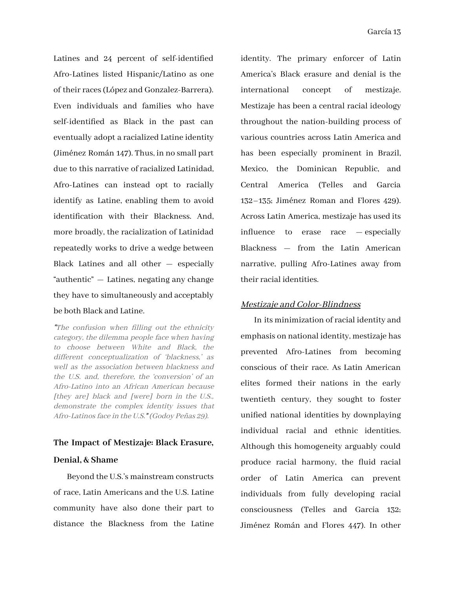Latines and 24 percent of self-identified Afro-Latines listed Hispanic/Latino as one of their races(López and Gonzalez-Barrera). Even individuals and families who have self-identified as Black in the past can eventually adopt a racialized Latine identity (Jiménez Román 147). Thus, in no small part due to this narrative of racialized Latinidad, Afro-Latines can instead opt to racially identify as Latine, enabling them to avoid identification with their Blackness. And, more broadly, the racialization of Latinidad repeatedly works to drive a wedge between Black Latines and all other — especially "authentic" — Latines, negating any change they have to simultaneously and acceptably be both Black and Latine.

"The confusion when filling out the ethnicity category, the dilemma people face when having to choose between White and Black, the different conceptualization of 'blackness,' as well as the association between blackness and the U.S. and, therefore, the 'conversion' of an Afro-Latino into an African American because [they are] black and [were] born in the U.S., demonstrate the complex identity issues that Afro-Latinos face in the U.S." (Godoy Peñas 29).

#### **The Impact of Mestizaje: Black Erasure,**

### **Denial, & Shame**

Beyond the U.S.'s mainstream constructs of race, Latin Americans and the U.S. Latine community have also done their part to distance the Blackness from the Latine identity. The primary enforcer of Latin America's Black erasure and denial is the international concept of mestizaje. Mestizaje has been a central racial ideology throughout the nation-building process of various countries across Latin America and has been especially prominent in Brazil, Mexico, the Dominican Republic, and Central America (Telles and Garcia 132–135; Jiménez Roman and Flores 429). Across Latin America, mestizaje has used its influence to erase race — especially Blackness — from the Latin American narrative, pulling Afro-Latines away from their racial identities.

#### Mestizaje and Color-Blindness

In its minimization of racial identity and emphasis on national identity, mestizaje has prevented Afro-Latines from becoming conscious of their race. As Latin American elites formed their nations in the early twentieth century, they sought to foster unified national identities by downplaying individual racial and ethnic identities. Although this homogeneity arguably could produce racial harmony, the fluid racial order of Latin America can prevent individuals from fully developing racial consciousness (Telles and Garcia 132; Jiménez Román and Flores 447). In other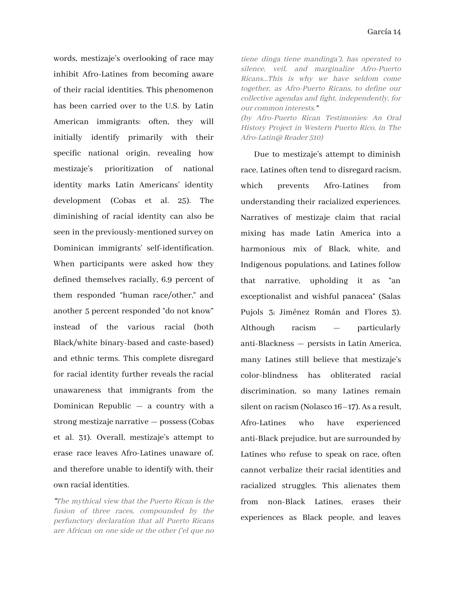words, mestizaje's overlooking of race may inhibit Afro-Latines from becoming aware of their racial identities. This phenomenon has been carried over to the U.S. by Latin American immigrants: often, they will initially identify primarily with their specific national origin, revealing how mestizaje's prioritization of national identity marks Latin Americans' identity development (Cobas et al. 25). The diminishing of racial identity can also be seen in the previously-mentioned survey on Dominican immigrants' self-identification. When participants were asked how they defined themselves racially, 6.9 percent of them responded "human race/other," and another 5 percent responded "do not know" instead of the various racial (both Black/white binary-based and caste-based) and ethnic terms. This complete disregard for racial identity further reveals the racial unawareness that immigrants from the Dominican Republic — a country with a strong mestizaje narrative — possess(Cobas et al. 31). Overall, mestizaje's attempt to erase race leaves Afro-Latines unaware of, and therefore unable to identify with, their own racial identities.

"The mythical view that the Puerto Rican is the fusion of three races, compounded by the perfunctory declaration that all Puerto Ricans are African on one side or the other ('el que no

tiene dinga tiene mandinga'), has operated to silence, veil, and marginalize Afro-Puerto Ricans…This is why we have seldom come together, as Afro-Puerto Ricans, to define our collective agendas and fight, independently, for our common interests." (by Afro-Puerto Rican Testimonies: An Oral

History Project in Western Puerto Rico, in The Afro-Latin@ Reader 510)

Due to mestizaje's attempt to diminish race, Latines often tend to disregard racism, which prevents Afro-Latines from understanding their racialized experiences. Narratives of mestizaje claim that racial mixing has made Latin America into a harmonious mix of Black, white, and Indigenous populations, and Latines follow that narrative, upholding it as "an exceptionalist and wishful panacea" (Salas Pujols 3; Jiménez Román and Flores 3). Although racism — particularly anti-Blackness — persists in Latin America, many Latines still believe that mestizaje's color-blindness has obliterated racial discrimination, so many Latines remain silent on racism (Nolasco 16–17). As a result, Afro-Latines who have experienced anti-Black prejudice, but are surrounded by Latines who refuse to speak on race, often cannot verbalize their racial identities and racialized struggles. This alienates them from non-Black Latines, erases their experiences as Black people, and leaves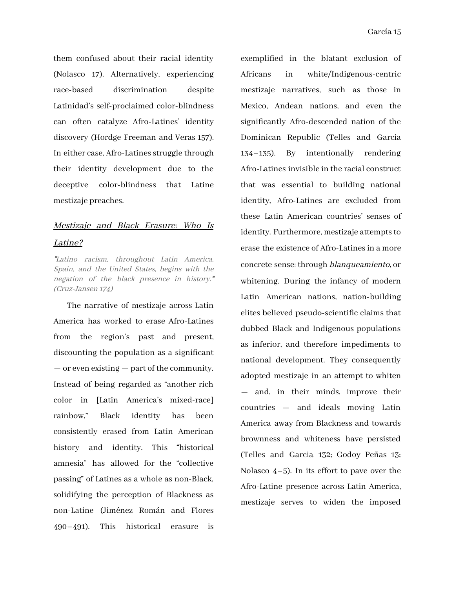them confused about their racial identity (Nolasco 17). Alternatively, experiencing race-based discrimination despite Latinidad's self-proclaimed color-blindness can often catalyze Afro-Latines' identity discovery (Hordge Freeman and Veras 157). In either case, Afro-Latines struggle through their identity development due to the deceptive color-blindness that Latine mestizaje preaches.

## Mestizaje and Black Erasure: Who Is Latine?

"Latino racism, throughout Latin America, Spain, and the United States, begins with the negation of the black presence in history." (Cruz-Jansen 174)

The narrative of mestizaje across Latin America has worked to erase Afro-Latines from the region's past and present, discounting the population as a significant — or even existing — part of the community. Instead of being regarded as "another rich color in [Latin America's mixed-race] rainbow," Black identity has been consistently erased from Latin American history and identity. This "historical amnesia" has allowed for the "collective passing" of Latines as a whole as non-Black, solidifying the perception of Blackness as non-Latine (Jiménez Román and Flores 490–491). This historical erasure is exemplified in the blatant exclusion of Africans in white/Indigenous-centric mestizaje narratives, such as those in Mexico, Andean nations, and even the significantly Afro-descended nation of the Dominican Republic (Telles and Garcia 134–135). By intentionally rendering Afro-Latines invisible in the racial construct that was essential to building national identity, Afro-Latines are excluded from these Latin American countries' senses of identity. Furthermore, mestizaje attempts to erase the existence of Afro-Latines in a more concrete sense: through blanqueamiento, or whitening. During the infancy of modern Latin American nations, nation-building elites believed pseudo-scientific claims that dubbed Black and Indigenous populations as inferior, and therefore impediments to national development. They consequently adopted mestizaje in an attempt to whiten — and, in their minds, improve their countries — and ideals moving Latin America away from Blackness and towards brownness and whiteness have persisted (Telles and Garcia 132; Godoy Peñas 13; Nolasco  $4-5$ ). In its effort to pave over the Afro-Latine presence across Latin America, mestizaje serves to widen the imposed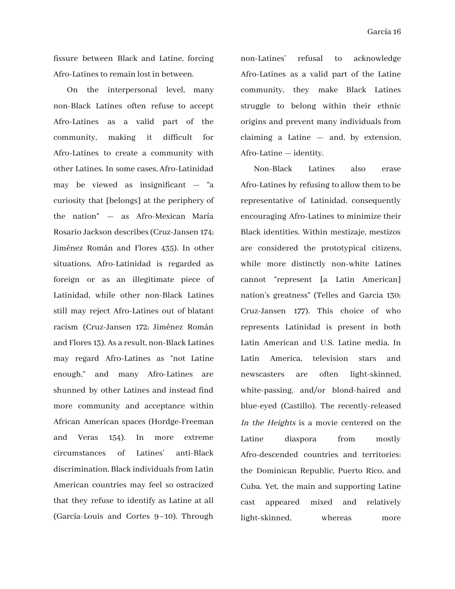fissure between Black and Latine, forcing Afro-Latines to remain lost in between.

On the interpersonal level, many non-Black Latines often refuse to accept Afro-Latines as a valid part of the community, making it difficult for Afro-Latines to create a community with other Latines. In some cases, Afro-Latinidad may be viewed as insignificant — "a curiosity that [belongs] at the periphery of the nation" — as Afro-Mexican María Rosario Jackson describes(Cruz-Jansen 174; Jiménez Román and Flores 435). In other situations, Afro-Latinidad is regarded as foreign or as an illegitimate piece of Latinidad, while other non-Black Latines still may reject Afro-Latines out of blatant racism (Cruz-Jansen 172; Jiménez Román and Flores 13). As a result, non-Black Latines may regard Afro-Latines as "not Latine enough," and many Afro-Latines are shunned by other Latines and instead find more community and acceptance within African American spaces (Hordge-Freeman and Veras 154). In more extreme circumstances of Latines' anti-Black discrimination, Black individualsfrom Latin American countries may feel so ostracized that they refuse to identify as Latine at all (García-Louis and Cortes 9–10). Through

non-Latines' refusal to acknowledge Afro-Latines as a valid part of the Latine community, they make Black Latines struggle to belong within their ethnic origins and prevent many individuals from claiming a Latine — and, by extension, Afro-Latine — identity.

Non-Black Latines also erase Afro-Latines by refusing to allow them to be representative of Latinidad, consequently encouraging Afro-Latines to minimize their Black identities. Within mestizaje, mestizos are considered the prototypical citizens, while more distinctly non-white Latines cannot "represent [a Latin American] nation's greatness" (Telles and Garcia 130; Cruz-Jansen 177). This choice of who represents Latinidad is present in both Latin American and U.S. Latine media. In Latin America, television stars and newscasters are often light-skinned, white-passing, and/or blond-haired and blue-eyed (Castillo). The recently-released In the Heights is a movie centered on the Latine diaspora from mostly Afro-descended countries and territories: the Dominican Republic, Puerto Rico, and Cuba. Yet, the main and supporting Latine cast appeared mixed and relatively light-skinned, whereas more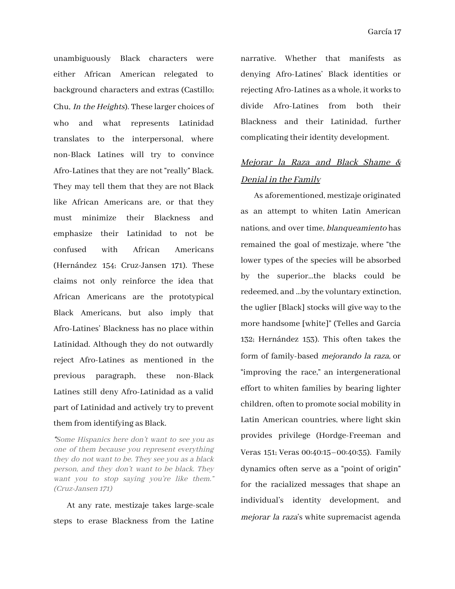unambiguously Black characters were either African American relegated to background characters and extras (Castillo; Chu, In the Heights). These larger choices of who and what represents Latinidad translates to the interpersonal, where non-Black Latines will try to convince Afro-Latines that they are not "really" Black. They may tell them that they are not Black like African Americans are, or that they must minimize their Blackness and emphasize their Latinidad to not be confused with African Americans (Hernández 154; Cruz-Jansen 171). These claims not only reinforce the idea that African Americans are the prototypical Black Americans, but also imply that Afro-Latines' Blackness has no place within Latinidad. Although they do not outwardly reject Afro-Latines as mentioned in the previous paragraph, these non-Black Latines still deny Afro-Latinidad as a valid part of Latinidad and actively try to prevent them from identifying as Black.

"Some Hispanics here don't want to see you as one of them because you represent everything they do not want to be. They see you as <sup>a</sup> black person, and they don't want to be black. They want you to stop saying you're like them." (Cruz-Jansen 171)

At any rate, mestizaje takes large-scale steps to erase Blackness from the Latine

narrative. Whether that manifests as denying Afro-Latines' Black identities or rejecting Afro-Latines as a whole, it worksto divide Afro-Latines from both their Blackness and their Latinidad, further complicating their identity development.

# Mejorar la Raza and Black Shame & Denial in the Family

As aforementioned, mestizaje originated as an attempt to whiten Latin American nations, and over time, blanqueamiento has remained the goal of mestizaje, where "the lower types of the species will be absorbed by the superior…the blacks could be redeemed, and …by the voluntary extinction, the uglier [Black] stocks will give way to the more handsome [white]" (Telles and Garcia 132; Hernández 153). This often takes the form of family-based mejorando la raza, or "improving the race," an intergenerational effort to whiten families by bearing lighter children, often to promote social mobility in Latin American countries, where light skin provides privilege (Hordge-Freeman and Veras 151; Veras 00:40:15–00:40:35). Family dynamics often serve as a "point of origin" for the racialized messages that shape an individual's identity development, and mejorar la raza's white supremacist agenda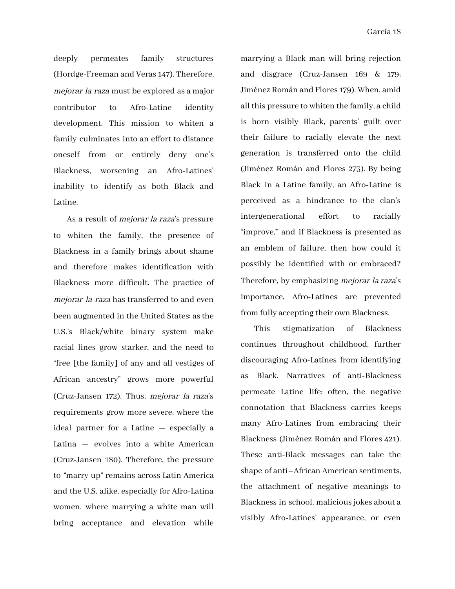deeply permeates family structures (Hordge-Freeman and Veras 147). Therefore, mejorar la raza must be explored as a major contributor to Afro-Latine identity development. This mission to whiten a family culminates into an effort to distance oneself from or entirely deny one's Blackness, worsening an Afro-Latines' inability to identify as both Black and Latine.

As a result of mejorar la raza's pressure to whiten the family, the presence of Blackness in a family brings about shame and therefore makes identification with Blackness more difficult. The practice of mejorar la raza has transferred to and even been augmented in the United States: asthe U.S.'s Black/white binary system make racial lines grow starker, and the need to "free [the family] of any and all vestiges of African ancestry" grows more powerful (Cruz-Jansen 172). Thus, mejorar la raza's requirements grow more severe, where the ideal partner for a Latine — especially a Latina — evolves into a white American (Cruz-Jansen 180). Therefore, the pressure to "marry up" remains across Latin America and the U.S. alike, especially for Afro-Latina women, where marrying a white man will bring acceptance and elevation while

marrying a Black man will bring rejection and disgrace (Cruz-Jansen 169 & 179; Jiménez Román and Flores 179). When, amid all this pressure to whiten the family, a child is born visibly Black, parents' guilt over their failure to racially elevate the next generation is transferred onto the child (Jiménez Román and Flores 273). By being Black in a Latine family, an Afro-Latine is perceived as a hindrance to the clan's intergenerational effort to racially "improve," and if Blackness is presented as an emblem of failure, then how could it possibly be identified with or embraced? Therefore, by emphasizing mejorar la raza's importance, Afro-Latines are prevented from fully accepting their own Blackness.

This stigmatization of Blackness continues throughout childhood, further discouraging Afro-Latines from identifying as Black. Narratives of anti-Blackness permeate Latine life: often, the negative connotation that Blackness carries keeps many Afro-Latines from embracing their Blackness (Jiménez Román and Flores 421). These anti-Black messages can take the shape of anti–African American sentiments, the attachment of negative meanings to Blackness in school, malicious jokes about a visibly Afro-Latines' appearance, or even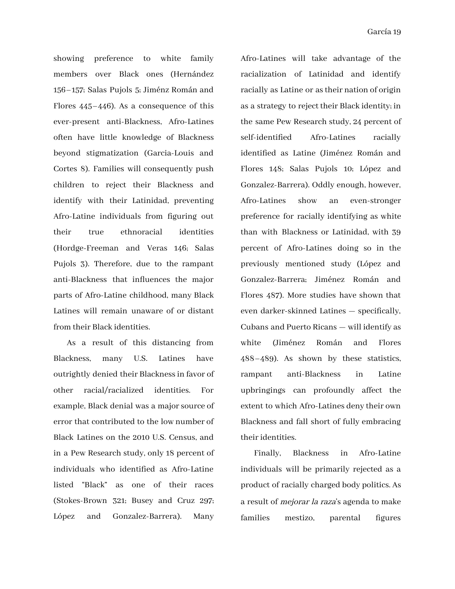showing preference to white family members over Black ones (Hernández 156–157; Salas Pujols 5; Jiménz Román and Flores 445–446). As a consequence of this ever-present anti-Blackness, Afro-Latines often have little knowledge of Blackness beyond stigmatization (Garcia-Louis and Cortes 8). Families will consequently push children to reject their Blackness and identify with their Latinidad, preventing Afro-Latine individuals from figuring out their true ethnoracial identities (Hordge-Freeman and Veras 146; Salas Pujols 3). Therefore, due to the rampant anti-Blackness that influences the major parts of Afro-Latine childhood, many Black Latines will remain unaware of or distant from their Black identities.

As a result of this distancing from Blackness, many U.S. Latines have outrightly denied their Blacknessin favor of other racial/racialized identities. For example, Black denial was a major source of error that contributed to the low number of Black Latines on the 2010 U.S. Census, and in a Pew Research study, only 18 percent of individuals who identified as Afro-Latine listed "Black" as one of their races (Stokes-Brown 321; Busey and Cruz 297; López and Gonzalez-Barrera). Many

Afro-Latines will take advantage of the racialization of Latinidad and identify racially as Latine or astheir nation of origin as a strategy to reject their Black identity; in the same Pew Research study, 24 percent of self-identified Afro-Latines racially identified as Latine (Jiménez Román and Flores 148; Salas Pujols 10; López and Gonzalez-Barrera). Oddly enough, however, Afro-Latines show an even-stronger preference for racially identifying as white than with Blackness or Latinidad, with 39 percent of Afro-Latines doing so in the previously mentioned study (López and Gonzalez-Barrera; Jiménez Román and Flores 487). More studies have shown that even darker-skinned Latines — specifically, Cubans and Puerto Ricans — will identify as white (Jiménez Román and Flores 488–489). As shown by these statistics, rampant anti-Blackness in Latine upbringings can profoundly affect the extent to which Afro-Latines deny their own Blackness and fall short of fully embracing their identities.

Finally, Blackness in Afro-Latine individuals will be primarily rejected as a product of racially charged body politics. As a result of mejorar la raza's agenda to make families mestizo, parental figures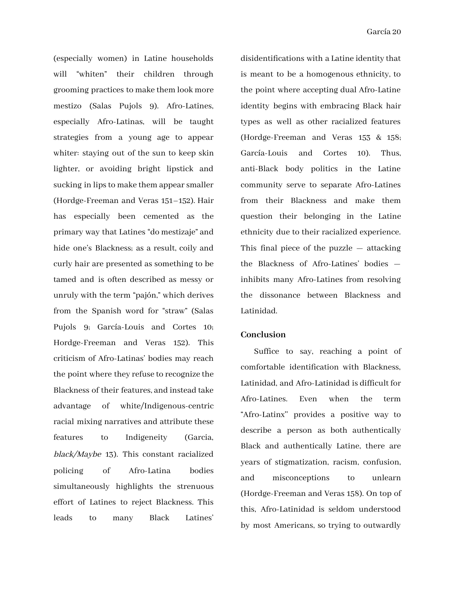(especially women) in Latine households will "whiten" their children through grooming practices to make them look more mestizo (Salas Pujols 9). Afro-Latines, especially Afro-Latinas, will be taught strategies from a young age to appear whiter: staying out of the sun to keep skin lighter, or avoiding bright lipstick and sucking in lips to make them appear smaller (Hordge-Freeman and Veras 151–152). Hair has especially been cemented as the primary way that Latines "do mestizaje" and hide one's Blackness; as a result, coily and curly hair are presented as something to be tamed and is often described as messy or unruly with the term "pajón," which derives from the Spanish word for "straw" (Salas Pujols 9; García-Louis and Cortes 10; Hordge-Freeman and Veras 152). This criticism of Afro-Latinas' bodies may reach the point where they refuse to recognize the Blackness of their features, and instead take advantage of white/Indigenous-centric racial mixing narratives and attribute these features to Indigeneity (Garcia, black/Maybe 13). This constant racialized policing of Afro-Latina bodies simultaneously highlights the strenuous effort of Latines to reject Blackness. This leads to many Black Latines'

disidentifications with a Latine identity that is meant to be a homogenous ethnicity, to the point where accepting dual Afro-Latine identity begins with embracing Black hair types as well as other racialized features (Hordge-Freeman and Veras 153 & 158; García-Louis and Cortes 10). Thus, anti-Black body politics in the Latine community serve to separate Afro-Latines from their Blackness and make them question their belonging in the Latine ethnicity due to their racialized experience. This final piece of the puzzle — attacking the Blackness of Afro-Latines' bodies inhibits many Afro-Latines from resolving the dissonance between Blackness and Latinidad.

#### **Conclusion**

Suffice to say, reaching a point of comfortable identification with Blackness, Latinidad, and Afro-Latinidad is difficult for Afro-Latines. Even when the term "Afro-Latinx'' provides a positive way to describe a person as both authentically Black and authentically Latine, there are years of stigmatization, racism, confusion, and misconceptions to unlearn (Hordge-Freeman and Veras 158). On top of this, Afro-Latinidad is seldom understood by most Americans, so trying to outwardly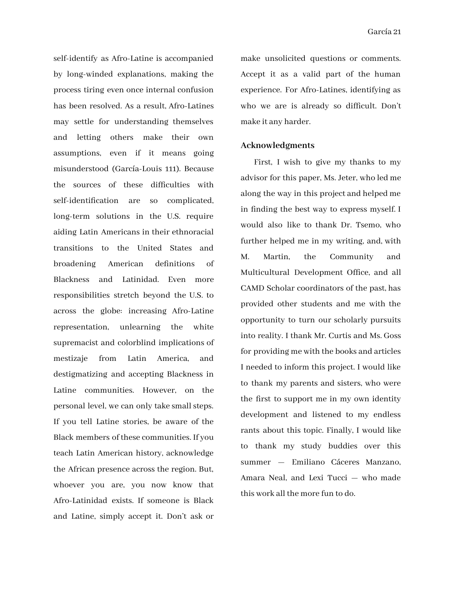self-identify as Afro-Latine is accompanied by long-winded explanations, making the process tiring even once internal confusion has been resolved. As a result, Afro-Latines may settle for understanding themselves and letting others make their own assumptions, even if it means going misunderstood (García-Louis 111). Because the sources of these difficulties with self-identification are so complicated, long-term solutions in the U.S. require aiding Latin Americans in their ethnoracial transitions to the United States and broadening American definitions of Blackness and Latinidad. Even more responsibilities stretch beyond the U.S. to across the globe: increasing Afro-Latine representation, unlearning the white supremacist and colorblind implications of mestizaje from Latin America, and destigmatizing and accepting Blackness in Latine communities. However, on the personal level, we can only take small steps. If you tell Latine stories, be aware of the Black members of these communities. If you teach Latin American history, acknowledge the African presence across the region. But, whoever you are, you now know that Afro-Latinidad exists. If someone is Black and Latine, simply accept it. Don't ask or

make unsolicited questions or comments. Accept it as a valid part of the human experience. For Afro-Latines, identifying as who we are is already so difficult. Don't make it any harder.

#### **Acknowledgments**

First, I wish to give my thanks to my advisor for this paper, Ms. Jeter, who led me along the way in this project and helped me in finding the best way to express myself. I would also like to thank Dr. Tsemo, who further helped me in my writing, and, with M. Martin, the Community and Multicultural Development Office, and all CAMD Scholar coordinators of the past, has provided other students and me with the opportunity to turn our scholarly pursuits into reality. I thank Mr. Curtis and Ms. Goss for providing me with the books and articles I needed to inform this project. I would like to thank my parents and sisters, who were the first to support me in my own identity development and listened to my endless rants about this topic. Finally, I would like to thank my study buddies over this summer — Emiliano Cáceres Manzano, Amara Neal, and Lexi Tucci — who made this work all the more fun to do.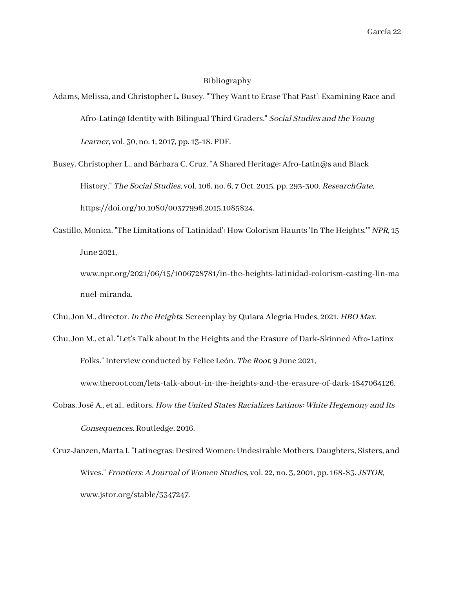#### Bibliography

- Adams, Melissa, and Christopher L. Busey. "'They Want to Erase That Past': Examining Race and Afro-Latin@ Identity with Bilingual Third Graders." Social Studies and the Young Learner, vol. 30, no. 1, 2017, pp. 13-18. PDF.
- Busey, Christopher L., and Bárbara C. Cruz. "A Shared Heritage: Afro-Latin@s and Black History." The Social Studies, vol. 106, no. 6, 7 Oct. 2015, pp. 293-300. ResearchGate, https://doi.org/10.1080/00377996.2015.1085824.
- Castillo, Monica. "The Limitations of 'Latinidad': How Colorism Haunts 'In The Heights.'" NPR, 15 June 2021,
	- www.npr.org/2021/06/15/1006728781/in-the-heights-latinidad-colorism-casting-lin-ma nuel-miranda.

Chu, Jon M., director. In the Heights. Screenplay by Quiara Alegría Hudes, 2021. HBO Max.

Chu, Jon M., et al. "Let's Talk about In the Heights and the Erasure of Dark-Skinned Afro-Latinx Folks." Interview conducted by Felice León. The Root, 9 June 2021,

www.theroot.com/lets-talk-about-in-the-heights-and-the-erasure-of-dark-1847064126.

- Cobas, José A., et al., editors. How the United States Racializes Latinos: White Hegemony and Its Consequences. Routledge, 2016.
- Cruz-Janzen, Marta I. "Latinegras: Desired Women: Undesirable Mothers, Daughters, Sisters, and Wives." Frontiers: A Journal of Women Studies, vol. 22, no. 3, 2001, pp. 168-83. JSTOR, www.jstor.org/stable/3347247.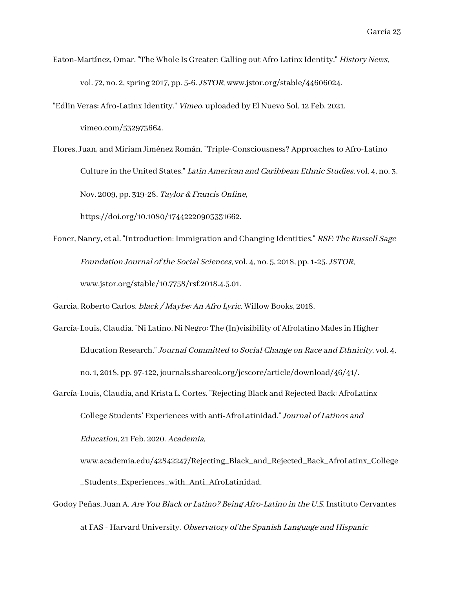Eaton-Martínez, Omar. "The Whole Is Greater: Calling out Afro Latinx Identity." History News, vol. 72, no. 2, spring 2017, pp. 5-6. JSTOR, www.jstor.org/stable/44606024.

"Edlin Veras: Afro-Latinx Identity." Vimeo, uploaded by El Nuevo Sol, 12 Feb. 2021,

vimeo.com/532973664.

Flores, Juan, and Miriam Jiménez Román. "Triple-Consciousness? Approaches to Afro-Latino Culture in the United States." Latin American and Caribbean Ethnic Studies, vol. 4, no. 3, Nov. 2009, pp. 319-28. Taylor & Francis Online,

https://doi.org/10.1080/17442220903331662.

Foner, Nancy, et al. "Introduction: Immigration and Changing Identities." RSF: The Russell Sage Foundation Journal of the Social Sciences, vol. 4, no. 5, 2018, pp. 1-25. JSTOR, www.jstor.org/stable/10.7758/rsf.2018.4.5.01.

Garcia, Roberto Carlos. black / Maybe: An Afro Lyric. Willow Books, 2018.

- García-Louis, Claudia. "Ni Latino, Ni Negro: The (In)visibility of Afrolatino Males in Higher Education Research." Journal Committed to Social Change on Race and Ethnicity, vol. 4, no. 1, 2018, pp. 97-122, journals.shareok.org/jcscore/article/download/46/41/.
- García-Louis, Claudia, and Krista L. Cortes. "Rejecting Black and Rejected Back: AfroLatinx College Students' Experiences with anti-AfroLatinidad." Journal of Latinos and Education, 21 Feb. 2020. Academia,
	- www.academia.edu/42842247/Rejecting\_Black\_and\_Rejected\_Back\_AfroLatinx\_College \_Students\_Experiences\_with\_Anti\_AfroLatinidad.
- Godoy Peñas, Juan A. Are You Black or Latino? Being Afro-Latino in the U.S. Instituto Cervantes at FAS - Harvard University. Observatory of the Spanish Language and Hispanic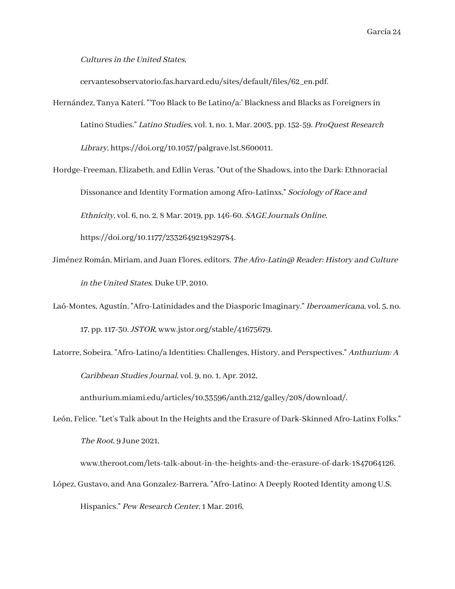#### Cultures in the United States,

cervantesobservatorio.fas.harvard.edu/sites/default/files/62\_en.pdf.

- Hernández, Tanya Katerí. "'Too Black to Be Latino/a:' Blackness and Blacks as Foreigners in Latino Studies." Latino Studies, vol. 1, no. 1, Mar. 2003, pp. 152-59. ProQuest Research Library, https://doi.org/10.1057/palgrave.lst.8600011.
- Hordge-Freeman, Elizabeth, and Edlin Veras. "Out of the Shadows, into the Dark: Ethnoracial Dissonance and Identity Formation among Afro-Latinxs." Sociology of Race and Ethnicity, vol. 6, no. 2, 8 Mar. 2019, pp. 146-60. SAGE Journals Online,

https://doi.org/10.1177/2332649219829784.

- Jiménez Román, Miriam, and Juan Flores, editors. The Afro-Latin@ Reader: History and Culture in the United States. Duke UP, 2010.
- Laó-Montes, Agustín. "Afro-Latinidades and the Diasporic Imaginary." Iberoamericana, vol. 5, no. 17, pp. 117-30. JSTOR, www.jstor.org/stable/41675679.
- Latorre, Sobeira. "Afro-Latino/a Identities: Challenges, History, and Perspectives." Anthurium: A Caribbean Studies Journal, vol. 9, no. 1, Apr. 2012,

anthurium.miami.edu/articles/10.33596/anth.212/galley/208/download/.

León, Felice. "Let's Talk about In the Heights and the Erasure of Dark-Skinned Afro-Latinx Folks." The Root, 9 June 2021,

www.theroot.com/lets-talk-about-in-the-heights-and-the-erasure-of-dark-1847064126.

López, Gustavo, and Ana Gonzalez-Barrera. "Afro-Latino: A Deeply Rooted Identity among U.S.

Hispanics." Pew Research Center, 1 Mar. 2016,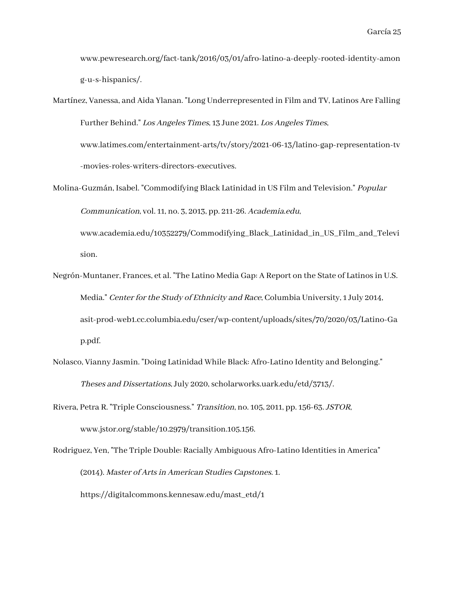www.pewresearch.org/fact-tank/2016/03/01/afro-latino-a-deeply-rooted-identity-amon g-u-s-hispanics/.

- Martínez, Vanessa, and Aida Ylanan. "Long Underrepresented in Film and TV, Latinos Are Falling Further Behind." Los Angeles Times, 13 June 2021. Los Angeles Times, www.latimes.com/entertainment-arts/tv/story/2021-06-13/latino-gap-representation-tv -movies-roles-writers-directors-executives.
- Molina-Guzmán, Isabel. "Commodifying Black Latinidad in US Film and Television." Popular Communication, vol. 11, no. 3, 2013, pp. 211-26. Academia.edu,

www.academia.edu/10352279/Commodifying\_Black\_Latinidad\_in\_US\_Film\_and\_Televi sion.

- Negrón-Muntaner, Frances, et al. "The Latino Media Gap: A Report on the State of Latinos in U.S. Media." Center for the Study of Ethnicity and Race, Columbia University, 1 July 2014, asit-prod-web1.cc.columbia.edu/cser/wp-content/uploads/sites/70/2020/03/Latino-Ga p.pdf.
- Nolasco, Vianny Jasmin. "Doing Latinidad While Black: Afro-Latino Identity and Belonging." Theses and Dissertations, July 2020, scholarworks.uark.edu/etd/3713/.
- Rivera, Petra R. "Triple Consciousness." Transition, no. 105, 2011, pp. 156-63. JSTOR, www.jstor.org/stable/10.2979/transition.105.156.

Rodriguez, Yen, "The Triple Double: Racially Ambiguous Afro-Latino Identities in America" (2014). Master of Arts in American Studies Capstones. 1. https://digitalcommons.kennesaw.edu/mast\_etd/1